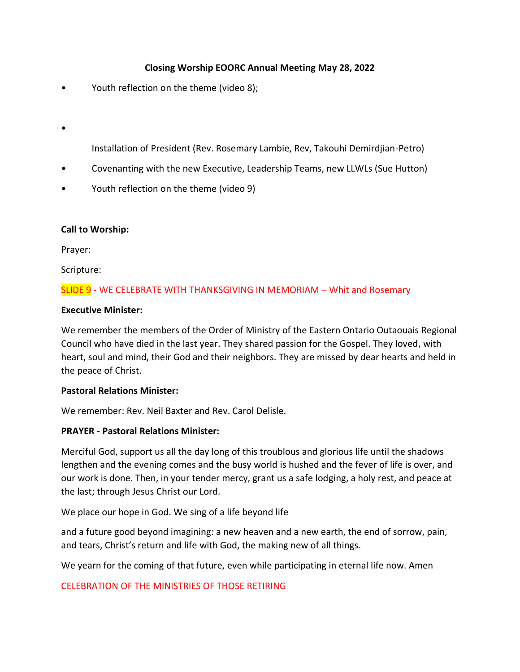# **Closing Worship EOORC Annual Meeting May 28, 2022**

- Youth reflection on the theme (video 8);
- •

Installation of President (Rev. Rosemary Lambie, Rev, Takouhi Demirdjian-Petro)

- Covenanting with the new Executive, Leadership Teams, new LLWLs (Sue Hutton)
- Youth reflection on the theme (video 9)

#### **Call to Worship:**

Prayer:

Scripture:

## SLIDE 9 - WE CELEBRATE WITH THANKSGIVING IN MEMORIAM – Whit and Rosemary

#### **Executive Minister:**

We remember the members of the Order of Ministry of the Eastern Ontario Outaouais Regional Council who have died in the last year. They shared passion for the Gospel. They loved, with heart, soul and mind, their God and their neighbors. They are missed by dear hearts and held in the peace of Christ.

#### **Pastoral Relations Minister:**

We remember: Rev. Neil Baxter and Rev. Carol Delisle.

#### **PRAYER - Pastoral Relations Minister:**

Merciful God, support us all the day long of this troublous and glorious life until the shadows lengthen and the evening comes and the busy world is hushed and the fever of life is over, and our work is done. Then, in your tender mercy, grant us a safe lodging, a holy rest, and peace at the last; through Jesus Christ our Lord.

We place our hope in God. We sing of a life beyond life

and a future good beyond imagining: a new heaven and a new earth, the end of sorrow, pain, and tears, Christ's return and life with God, the making new of all things.

We yearn for the coming of that future, even while participating in eternal life now. Amen

#### CELEBRATION OF THE MINISTRIES OF THOSE RETIRING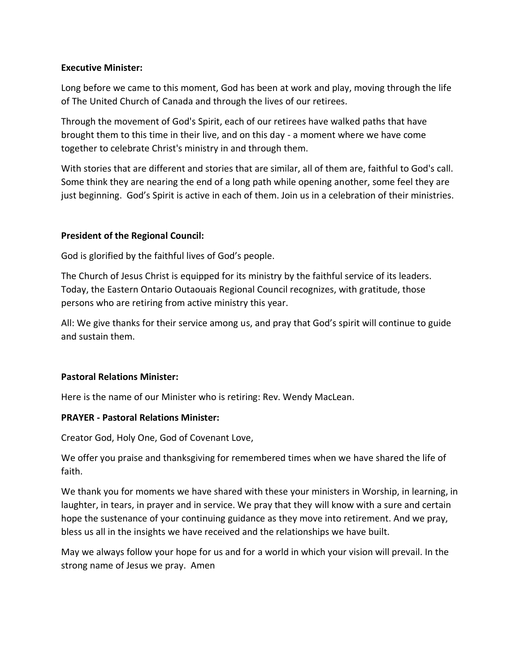### **Executive Minister:**

Long before we came to this moment, God has been at work and play, moving through the life of The United Church of Canada and through the lives of our retirees.

Through the movement of God's Spirit, each of our retirees have walked paths that have brought them to this time in their live, and on this day - a moment where we have come together to celebrate Christ's ministry in and through them.

With stories that are different and stories that are similar, all of them are, faithful to God's call. Some think they are nearing the end of a long path while opening another, some feel they are just beginning. God's Spirit is active in each of them. Join us in a celebration of their ministries.

## **President of the Regional Council:**

God is glorified by the faithful lives of God's people.

The Church of Jesus Christ is equipped for its ministry by the faithful service of its leaders. Today, the Eastern Ontario Outaouais Regional Council recognizes, with gratitude, those persons who are retiring from active ministry this year.

All: We give thanks for their service among us, and pray that God's spirit will continue to guide and sustain them.

#### **Pastoral Relations Minister:**

Here is the name of our Minister who is retiring: Rev. Wendy MacLean.

#### **PRAYER - Pastoral Relations Minister:**

Creator God, Holy One, God of Covenant Love,

We offer you praise and thanksgiving for remembered times when we have shared the life of faith.

We thank you for moments we have shared with these your ministers in Worship, in learning, in laughter, in tears, in prayer and in service. We pray that they will know with a sure and certain hope the sustenance of your continuing guidance as they move into retirement. And we pray, bless us all in the insights we have received and the relationships we have built.

May we always follow your hope for us and for a world in which your vision will prevail. In the strong name of Jesus we pray. Amen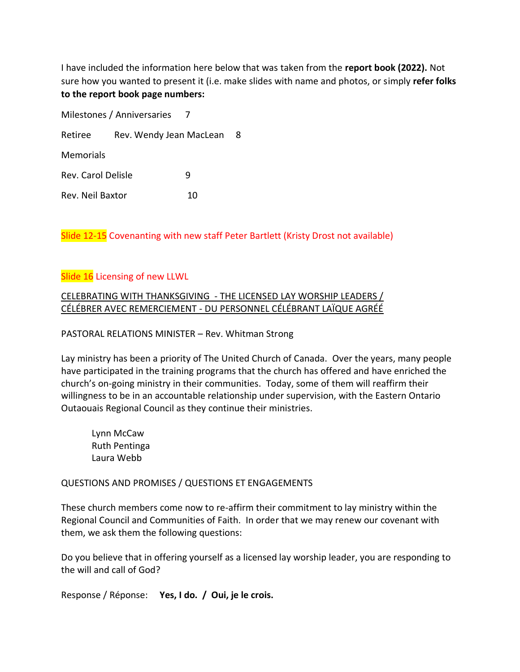I have included the information here below that was taken from the **report book (2022).** Not sure how you wanted to present it (i.e. make slides with name and photos, or simply **refer folks to the report book page numbers:**

| Milestones / Anniversaries     |                         |    |   |
|--------------------------------|-------------------------|----|---|
| Retiree                        | Rev. Wendy Jean MacLean |    | 8 |
| Memorials                      |                         |    |   |
| <b>Rev. Carol Delisle</b><br>q |                         |    |   |
| Rev. Neil Baxtor               |                         | 10 |   |

Slide 12-15 Covenanting with new staff Peter Bartlett (Kristy Drost not available)

## Slide 16 Licensing of new LLWL

CELEBRATING WITH THANKSGIVING - THE LICENSED LAY WORSHIP LEADERS / CÉLÉBRER AVEC REMERCIEMENT - DU PERSONNEL CÉLÉBRANT LAÏQUE AGRÉÉ

PASTORAL RELATIONS MINISTER – Rev. Whitman Strong

Lay ministry has been a priority of The United Church of Canada. Over the years, many people have participated in the training programs that the church has offered and have enriched the church's on-going ministry in their communities. Today, some of them will reaffirm their willingness to be in an accountable relationship under supervision, with the Eastern Ontario Outaouais Regional Council as they continue their ministries.

Lynn McCaw Ruth Pentinga Laura Webb

QUESTIONS AND PROMISES / QUESTIONS ET ENGAGEMENTS

These church members come now to re-affirm their commitment to lay ministry within the Regional Council and Communities of Faith. In order that we may renew our covenant with them, we ask them the following questions:

Do you believe that in offering yourself as a licensed lay worship leader, you are responding to the will and call of God?

Response / Réponse: **Yes, I do. / Oui, je le crois.**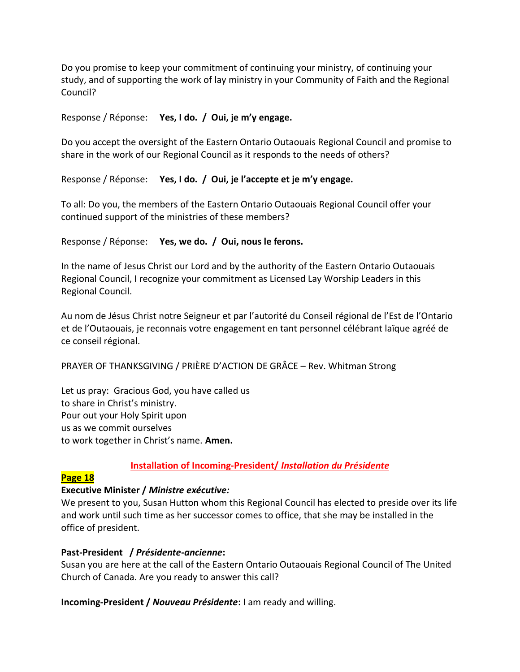Do you promise to keep your commitment of continuing your ministry, of continuing your study, and of supporting the work of lay ministry in your Community of Faith and the Regional Council?

## Response / Réponse: **Yes, I do. / Oui, je m'y engage.**

Do you accept the oversight of the Eastern Ontario Outaouais Regional Council and promise to share in the work of our Regional Council as it responds to the needs of others?

## Response / Réponse: **Yes, I do. / Oui, je l'accepte et je m'y engage.**

To all: Do you, the members of the Eastern Ontario Outaouais Regional Council offer your continued support of the ministries of these members?

#### Response / Réponse: **Yes, we do. / Oui, nous le ferons.**

In the name of Jesus Christ our Lord and by the authority of the Eastern Ontario Outaouais Regional Council, I recognize your commitment as Licensed Lay Worship Leaders in this Regional Council.

Au nom de Jésus Christ notre Seigneur et par l'autorité du Conseil régional de l'Est de l'Ontario et de l'Outaouais, je reconnais votre engagement en tant personnel célébrant laïque agréé de ce conseil régional.

PRAYER OF THANKSGIVING / PRIÈRE D'ACTION DE GRÂCE – Rev. Whitman Strong

Let us pray: Gracious God, you have called us to share in Christ's ministry. Pour out your Holy Spirit upon us as we commit ourselves to work together in Christ's name. **Amen.**

# **Installation of Incoming-President/** *Installation du Présidente*

#### **Page 18**

#### **Executive Minister /** *Ministre exécutive:*

We present to you, Susan Hutton whom this Regional Council has elected to preside over its life and work until such time as her successor comes to office, that she may be installed in the office of president.

#### **Past-President /** *Présidente-ancienne***:**

Susan you are here at the call of the Eastern Ontario Outaouais Regional Council of The United Church of Canada. Are you ready to answer this call?

**Incoming-President /** *Nouveau Présidente***:** I am ready and willing.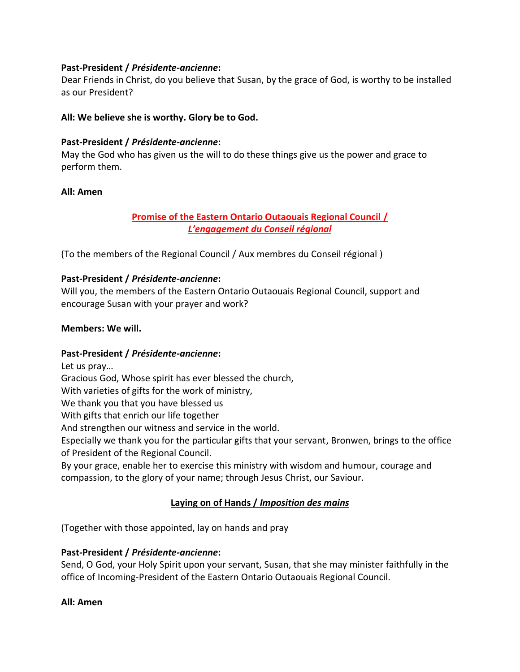## **Past-President /** *Présidente-ancienne***:**

Dear Friends in Christ, do you believe that Susan, by the grace of God, is worthy to be installed as our President?

## **All: We believe she is worthy. Glory be to God.**

## **Past-President /** *Présidente-ancienne***:**

May the God who has given us the will to do these things give us the power and grace to perform them.

#### **All: Amen**

# **Promise of the Eastern Ontario Outaouais Regional Council /**  *L'engagement du Conseil régional*

(To the members of the Regional Council / Aux membres du Conseil régional )

## **Past-President /** *Présidente-ancienne***:**

Will you, the members of the Eastern Ontario Outaouais Regional Council, support and encourage Susan with your prayer and work?

#### **Members: We will.**

# **Past-President /** *Présidente-ancienne***:**

Let us pray… Gracious God, Whose spirit has ever blessed the church, With varieties of gifts for the work of ministry, We thank you that you have blessed us With gifts that enrich our life together And strengthen our witness and service in the world. Especially we thank you for the particular gifts that your servant, Bronwen, brings to the office of President of the Regional Council. By your grace, enable her to exercise this ministry with wisdom and humour, courage and

compassion, to the glory of your name; through Jesus Christ, our Saviour.

# **Laying on of Hands /** *Imposition des mains*

(Together with those appointed, lay on hands and pray

# **Past-President /** *Présidente-ancienne***:**

Send, O God, your Holy Spirit upon your servant, Susan, that she may minister faithfully in the office of Incoming-President of the Eastern Ontario Outaouais Regional Council.

#### **All: Amen**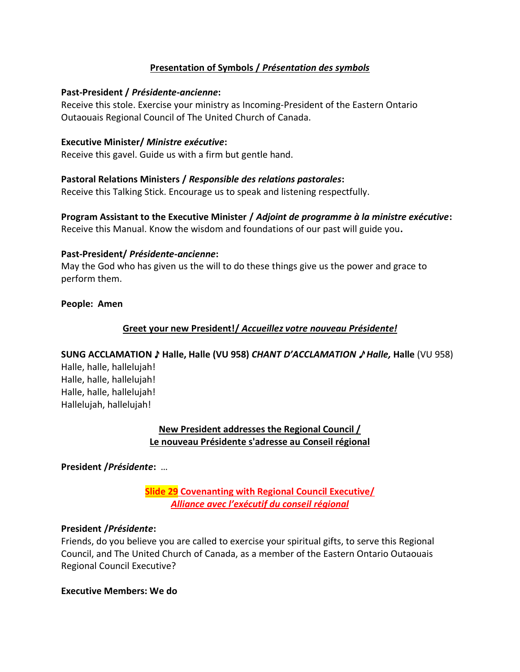# **Presentation of Symbols /** *Présentation des symbols*

#### **Past-President /** *Présidente-ancienne***:**

Receive this stole. Exercise your ministry as Incoming-President of the Eastern Ontario Outaouais Regional Council of The United Church of Canada.

#### **Executive Minister/** *Ministre exécutive***:**

Receive this gavel. Guide us with a firm but gentle hand.

#### **Pastoral Relations Ministers /** *Responsible des relations pastorales***:**

Receive this Talking Stick. Encourage us to speak and listening respectfully.

# **Program Assistant to the Executive Minister /** *Adjoint de programme à la ministre exécutive***:**

Receive this Manual. Know the wisdom and foundations of our past will guide you**.**

#### **Past-President/** *Présidente-ancienne***:**

May the God who has given us the will to do these things give us the power and grace to perform them.

**People: Amen**

#### **Greet your new President!/** *Accueillez votre nouveau Présidente!*

#### **SUNG ACCLAMATION** ♪ **Halle, Halle (VU 958)** *CHANT D'ACCLAMATION* ♪ *Halle,* **Halle** (VU 958)

Halle, halle, hallelujah! Halle, halle, hallelujah! Halle, halle, hallelujah! Hallelujah, hallelujah!

## **New President addresses the Regional Council / Le nouveau Présidente s'adresse au Conseil régional**

**President /***Présidente***:** …

**Slide 29 Covenanting with Regional Council Executive/** *Alliance avec l'exécutif du conseil régional*

#### **President /***Présidente***:**

Friends, do you believe you are called to exercise your spiritual gifts, to serve this Regional Council, and The United Church of Canada, as a member of the Eastern Ontario Outaouais Regional Council Executive?

#### **Executive Members: We do**